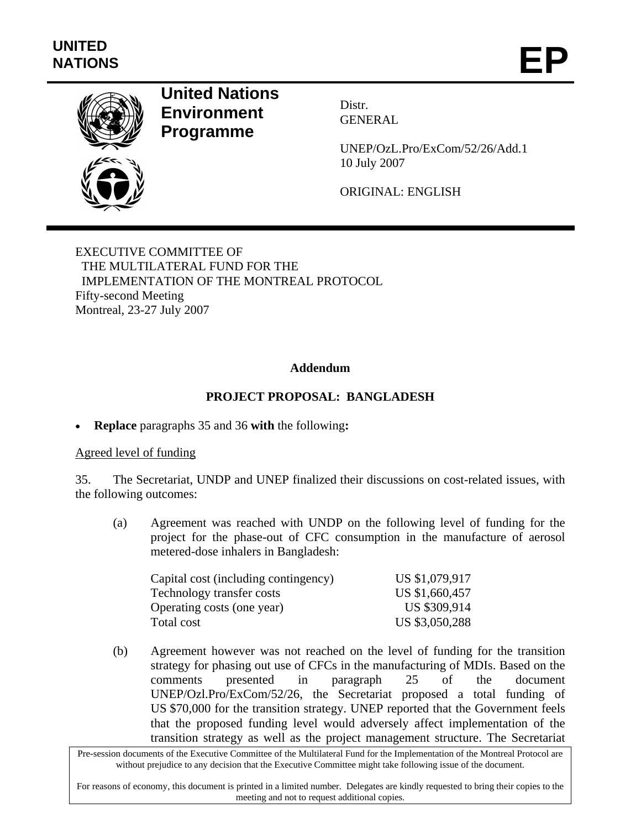

# **United Nations Environment Programme**

Distr. GENERAL

UNEP/OzL.Pro/ExCom/52/26/Add.1 10 July 2007

ORIGINAL: ENGLISH

EXECUTIVE COMMITTEE OF THE MULTILATERAL FUND FOR THE IMPLEMENTATION OF THE MONTREAL PROTOCOL Fifty-second Meeting Montreal, 23-27 July 2007

#### **Addendum**

## **PROJECT PROPOSAL: BANGLADESH**

• **Replace** paragraphs 35 and 36 **with** the following**:** 

#### Agreed level of funding

35. The Secretariat, UNDP and UNEP finalized their discussions on cost-related issues, with the following outcomes:

(a) Agreement was reached with UNDP on the following level of funding for the project for the phase-out of CFC consumption in the manufacture of aerosol metered-dose inhalers in Bangladesh:

| Capital cost (including contingency) | US \$1,079,917 |
|--------------------------------------|----------------|
| Technology transfer costs            | US \$1,660,457 |
| Operating costs (one year)           | US \$309,914   |
| Total cost                           | US \$3,050,288 |

(b) Agreement however was not reached on the level of funding for the transition strategy for phasing out use of CFCs in the manufacturing of MDIs. Based on the comments presented in paragraph 25 of the document UNEP/Ozl.Pro/ExCom/52/26, the Secretariat proposed a total funding of US \$70,000 for the transition strategy. UNEP reported that the Government feels that the proposed funding level would adversely affect implementation of the transition strategy as well as the project management structure. The Secretariat

Pre-session documents of the Executive Committee of the Multilateral Fund for the Implementation of the Montreal Protocol are without prejudice to any decision that the Executive Committee might take following issue of the document.

For reasons of economy, this document is printed in a limited number. Delegates are kindly requested to bring their copies to the meeting and not to request additional copies.